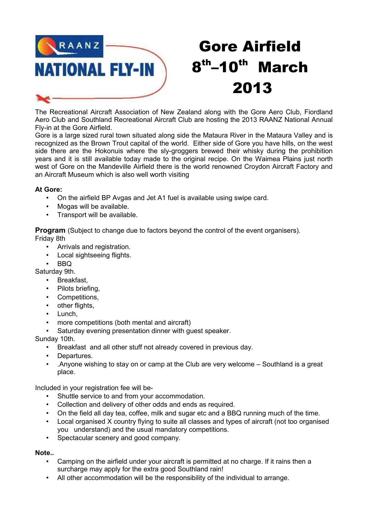

# Gore Airfield 8<sup>th</sup>–10<sup>th</sup> March 2013

The Recreational Aircraft Association of New Zealand along with the Gore Aero Club, Fiordland Aero Club and Southland Recreational Aircraft Club are hosting the 2013 RAANZ National Annual Fly-in at the Gore Airfield.

Gore is a large sized rural town situated along side the Mataura River in the Mataura Valley and is recognized as the Brown Trout capital of the world. Either side of Gore you have hills, on the west side there are the Hokonuis where the sly-groggers brewed their whisky during the prohibition years and it is still available today made to the original recipe. On the Waimea Plains just north west of Gore on the Mandeville Airfield there is the world renowned Croydon Aircraft Factory and an Aircraft Museum which is also well worth visiting

# **At Gore:**

- On the airfield BP Avgas and Jet A1 fuel is available using swipe card.
- Mogas will be available.
- Transport will be available.

**Program** (Subject to change due to factors beyond the control of the event organisers). Friday 8th

- Arrivals and registration.
- Local sightseeing flights.
- BBQ

Saturday 9th.

- Breakfast.
- Pilots briefing.
- Competitions,
- other flights,
- Lunch,
- more competitions (both mental and aircraft)
- Saturday evening presentation dinner with quest speaker.

Sunday 10th.

- Breakfast and all other stuff not already covered in previous day.
- Departures.
- .Anyone wishing to stay on or camp at the Club are very welcome Southland is a great place.

Included in your registration fee will be-

- Shuttle service to and from your accommodation.
- Collection and delivery of other odds and ends as required.
- On the field all day tea, coffee, milk and sugar etc and a BBQ running much of the time.
- Local organised X country flying to suite all classes and types of aircraft (not too organised you understand) and the usual mandatory competitions.
- Spectacular scenery and good company.

# **Note..**

- Camping on the airfield under your aircraft is permitted at no charge. If it rains then a surcharge may apply for the extra good Southland rain!
- All other accommodation will be the responsibility of the individual to arrange.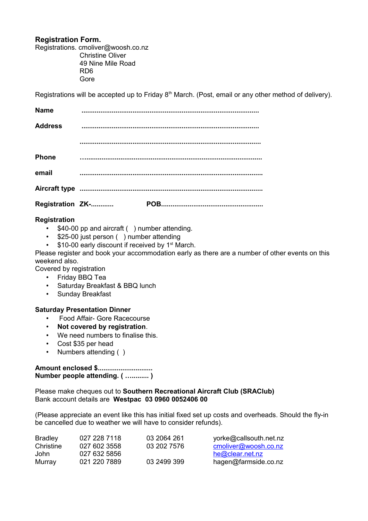# **Registration Form.**

Registrations. cmoliver@woosh.co.nz Christine Oliver 49 Nine Mile Road RD6 Gore

Registrations will be accepted up to Friday  $8<sup>th</sup>$  March. (Post, email or any other method of delivery).

| <b>Name</b>    |                  |  |
|----------------|------------------|--|
| <b>Address</b> |                  |  |
|                |                  |  |
| <b>Phone</b>   |                  |  |
| email          |                  |  |
|                |                  |  |
|                | Registration ZK- |  |

# **Registration**

- \$40-00 pp and aircraft ( ) number attending.
- \$25-00 just person ( ) number attending
- $\cdot$  \$10-00 early discount if received by 1<sup>st</sup> March.

Please register and book your accommodation early as there are a number of other events on this weekend also.

Covered by registration

- Friday BBQ Tea
- Saturday Breakfast & BBQ lunch
- Sunday Breakfast

#### **Saturday Presentation Dinner**

- Food Affair- Gore Racecourse
- **Not covered by registration**.
- We need numbers to finalise this.
- Cost \$35 per head
- Numbers attending ()

# **Amount enclosed \$............................. Number people attending. ( …......... )**

Please make cheques out to **Southern Recreational Aircraft Club (SRAClub)** Bank account details are **Westpac 03 0960 0052406 00**

(Please appreciate an event like this has initial fixed set up costs and overheads. Should the fly-in be cancelled due to weather we will have to consider refunds).

| <b>Bradley</b> | 027 228 7118 | 03 2064 261 | yorke@callsouth.net.nz |
|----------------|--------------|-------------|------------------------|
| Christine      | 027 602 3558 | 03 202 7576 | cmoliver@woosh.co.nz   |
| John           | 027 632 5856 |             | he@clear.net.nz        |
| Murray         | 021 220 7889 | 03 2499 399 | hagen@farmside.co.nz   |